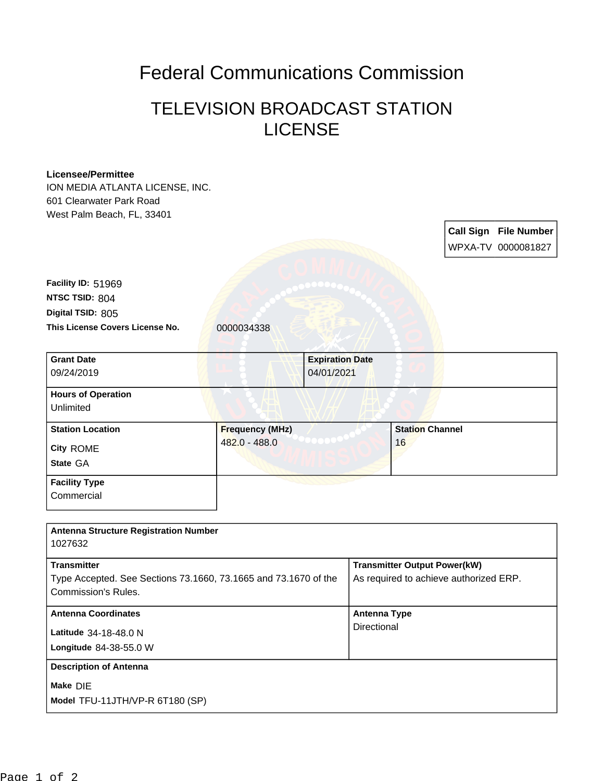## Federal Communications Commission

## TELEVISION BROADCAST STATION **LICENSE**

## **Licensee/Permittee**

ION MEDIA ATLANTA LICENSE, INC. 601 Clearwater Park Road West Palm Beach, FL, 33401

> **Call Sign File Number** WPXA-TV 0000081827

**This License Covers License No.** 0000034338 **Digital TSID:** 805 **NTSC TSID:** 804 **Facility ID:** 51969

| <b>Grant Date</b><br>09/24/2019                  |                                         | <b>Expiration Date</b><br>04/01/2021 |                              |  |
|--------------------------------------------------|-----------------------------------------|--------------------------------------|------------------------------|--|
| <b>Hours of Operation</b><br>Unlimited           |                                         |                                      |                              |  |
| <b>Station Location</b><br>City ROME<br>State GA | <b>Frequency (MHz)</b><br>482.0 - 488.0 |                                      | <b>Station Channel</b><br>16 |  |
| <b>Facility Type</b><br>Commercial               |                                         |                                      |                              |  |

| <b>Antenna Structure Registration Number</b><br>1027632                                                      |                                                                               |
|--------------------------------------------------------------------------------------------------------------|-------------------------------------------------------------------------------|
| <b>Transmitter</b><br>Type Accepted. See Sections 73.1660, 73.1665 and 73.1670 of the<br>Commission's Rules. | <b>Transmitter Output Power(kW)</b><br>As required to achieve authorized ERP. |
| <b>Antenna Coordinates</b><br>Latitude 34-18-48.0 N<br>Longitude 84-38-55.0 W                                | Antenna Type<br>Directional                                                   |
| <b>Description of Antenna</b><br>Make DIE<br>Model TFU-11JTH/VP-R 6T180 (SP)                                 |                                                                               |